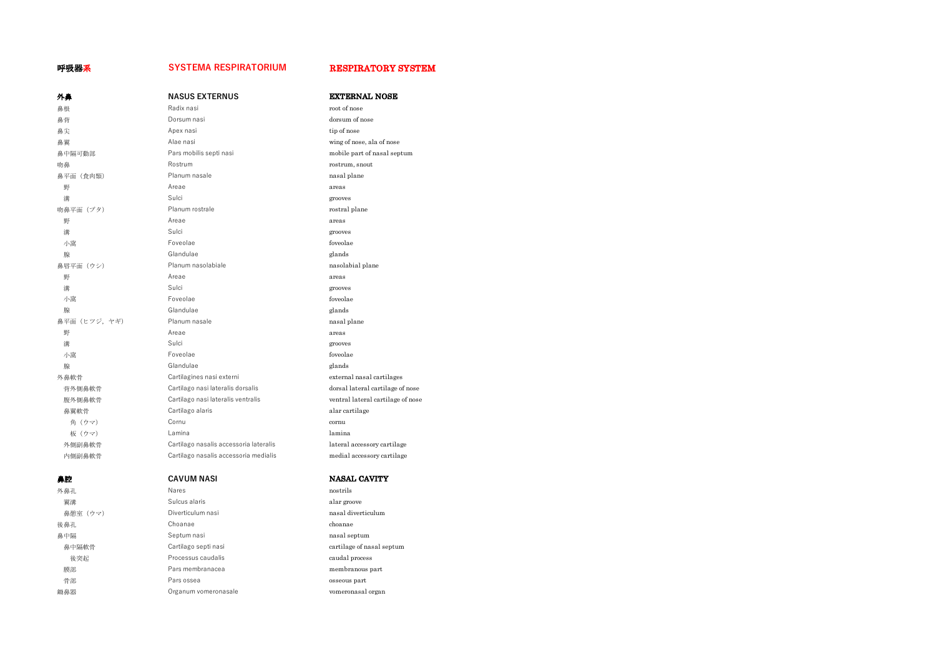### 呼吸器系 **SYSTEMA RESPIRATORIUM** RESPIRATORY SYSTEM

| 外鼻           | <b>NASUS EXTERNUS</b>                  | <b>EXTERNAL NOSE</b>              |
|--------------|----------------------------------------|-----------------------------------|
| 鼻根           | Radix nasi                             | root of nose                      |
| 鼻背           | Dorsum nasi                            | dorsum of nose                    |
| 鼻尖           | Apex nasi                              | tip of nose                       |
| 鼻翼           | Alae nasi                              | wing of nose, ala of nose         |
| 鼻中隔可動部       | Pars mobilis septi nasi                | mobile part of nasal septum       |
| 吻鼻           | Rostrum                                | rostrum, snout                    |
| 鼻平面 (食肉類)    | Planum nasale                          | nasal plane                       |
| 野            | Areae                                  | areas                             |
| 溝            | Sulci                                  | grooves                           |
| 吻鼻平面 (ブタ)    | Planum rostrale                        | rostral plane                     |
| 野            | Areae                                  | areas                             |
| 溝            | Sulci                                  | grooves                           |
| 小窩           | Foveolae                               | foveolae                          |
| 腺            | Glandulae                              | glands                            |
| 鼻唇平面 (ウシ)    | Planum nasolabiale                     | nasolabial plane                  |
| 野            | Areae                                  | areas                             |
| 溝            | Sulci                                  | grooves                           |
| 小窩           | Foveolae                               | foveolae                          |
| 腺            | Glandulae                              | glands                            |
| 鼻平面 (ヒツジ,ヤギ) | Planum nasale                          | nasal plane                       |
| 野            | Areae                                  | areas                             |
| 灌            | Sulci                                  | grooves                           |
| 小窩           | Foveolae                               | foveolae                          |
| 腺            | Glandulae                              | glands                            |
| 外鼻軟骨         | Cartilagines nasi externi              | external nasal cartilages         |
| 背外側鼻軟骨       | Cartilago nasi lateralis dorsalis      | dorsal lateral cartilage of nose  |
| 腹外側鼻軟骨       | Cartilago nasi lateralis ventralis     | ventral lateral cartilage of nose |
| 鼻翼軟骨         | Cartilago alaris                       | alar cartilage                    |
| 角 (ウマ)       | Cornu                                  | cornu                             |
| 板 (ウマ)       | Lamina                                 | lamina                            |
| 外側副鼻軟骨       | Cartilago nasalis accessoria lateralis | lateral accessory cartilage       |
| 内側副鼻軟骨       | Cartilago nasalis accessoria medialis  | medial accessory cartilage        |
| 鼻腔           | <b>CAVUM NASI</b>                      | <b>NASAL CAVITY</b>               |
| 外鼻孔          | Nares                                  | nostrils                          |
| 翼溝           | Sulcus alaris                          | alar groove                       |
| 鼻憩室(ウマ)      | Diverticulum nasi                      | nasal diverticulum                |
| 後鼻孔          | Choanae                                | choanae                           |
| 鼻中隔          | Septum nasi                            | nasal septum                      |
| 鼻中隔軟骨        | Cartilago septi nasi                   | cartilage of nasal septum         |
| 後突起          | Processus caudalis                     | caudal process                    |
| 膜部           | Pars membranacea                       | membranous part                   |
| 骨部           | Pars ossea                             | osseous part                      |
| 鋤鼻器          | Organum vomeronasale                   | vomeronasal organ                 |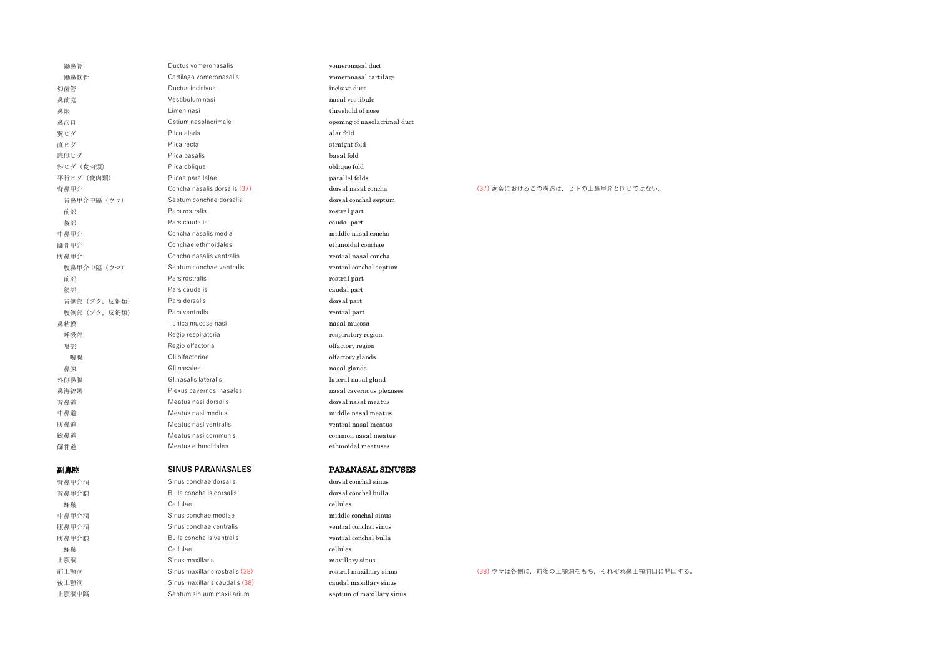| 鋤鼻管           | Ductus vomeronasalis            | vomeronasal duct             |                                       |
|---------------|---------------------------------|------------------------------|---------------------------------------|
| 鋤鼻軟骨          | Cartilago vomeronasalis         | vomeronasal cartilage        |                                       |
| 切歯管           | Ductus incisivus                | incisive duct                |                                       |
| 鼻前庭           | Vestibulum nasi                 | nasal vestibule              |                                       |
| 鼻限            | Limen nasi                      | threshold of nose            |                                       |
| 鼻涙口           | Ostium nasolacrimale            | opening of nasolacrimal duct |                                       |
| 翼ビダ           | Plica alaris                    | alar fold                    |                                       |
| 直ヒダ           | Plica recta                     | straight fold                |                                       |
| 底側ヒダ          | Plica basalis                   | basal fold                   |                                       |
| 斜ヒダ (食肉類)     | Plica obliqua                   | oblique fold                 |                                       |
| 平行ヒダ (食肉類)    | Plicae parallelae               | parallel folds               |                                       |
| 背鼻甲介          | Concha nasalis dorsalis (37)    | dorsal nasal concha          | (37) 家畜におけるこの構造は、ヒトの上鼻甲介と同じではない。      |
| 背鼻甲介中隔 (ウマ)   | Septum conchae dorsalis         | dorsal conchal septum        |                                       |
| 前部            | Pars rostralis                  | rostral part                 |                                       |
| 後部            | Pars caudalis                   | caudal part                  |                                       |
| 中鼻甲介          | Concha nasalis media            | middle nasal concha          |                                       |
| 篩骨甲介          | Conchae ethmoidales             | ethmoidal conchae            |                                       |
| 腹鼻甲介          | Concha nasalis ventralis        | ventral nasal concha         |                                       |
| 腹鼻甲介中隔 (ウマ)   | Septum conchae ventralis        | ventral conchal septum       |                                       |
| 前部            | Pars rostralis                  | rostral part                 |                                       |
| 後部            | Pars caudalis                   | caudal part                  |                                       |
| 背側部 (ブタ, 反芻類) | Pars dorsalis                   | dorsal part                  |                                       |
| 腹側部 (ブタ, 反芻類) | Pars ventralis                  | ventral part                 |                                       |
| 鼻粘膜           | Tunica mucosa nasi              | nasal mucosa                 |                                       |
| 呼吸部           | Regio respiratoria              | respiratory region           |                                       |
| 嗅部            | Regio olfactoria                | olfactory region             |                                       |
| 嗅腺            | GII.olfactoriae                 | olfactory glands             |                                       |
| 鼻腺            | Gll.nasales                     | nasal glands                 |                                       |
| 外側鼻腺          | Gl.nasalis lateralis            | lateral nasal gland          |                                       |
| 鼻海綿叢          | Piexus cavernosi nasales        | nasal cavernous plexuses     |                                       |
| 背鼻道           | Meatus nasi dorsalis            | dorsal nasal meatus          |                                       |
| 中鼻道           | Meatus nasi medius              | middle nasal meatus          |                                       |
| 腹鼻道           | Meatus nasi ventralis           | ventral nasal meatus         |                                       |
| 総鼻道           | Meatus nasi communis            | common nasal meatus          |                                       |
| 篩骨道           | Meatus ethmoidales              | ethmoidal meatuses           |                                       |
|               |                                 |                              |                                       |
| 副鼻腔           | <b>SINUS PARANASALES</b>        | <b>PARANASAL SINUSES</b>     |                                       |
| 背鼻甲介洞         | Sinus conchae dorsalis          | dorsal conchal sinus         |                                       |
| 背鼻甲介胞         | Bulla conchalis dorsalis        | dorsal conchal bulla         |                                       |
| 蜂巢            | Cellulae                        | cellules                     |                                       |
| 中鼻甲介洞         | Sinus conchae mediae            | middle conchal sinus         |                                       |
| 腹鼻甲介洞         | Sinus conchae ventralis         | ventral conchal sinus        |                                       |
| 腹鼻甲介胞         | Bulla conchalis ventralis       | ventral conchal bulla        |                                       |
| 蜂巢            | Cellulae                        | cellules                     |                                       |
| 上顎洞           | Sinus maxillaris                | maxillary sinus              |                                       |
| 前上顎洞          | Sinus maxillaris rostralis (38) | rostral maxillary sinus      | (38) ウマは各側に、前後の上顎洞をもち、それぞれ鼻上顎洞口に開口する。 |
| 後上顎洞          | Sinus maxillaris caudalis (38)  | caudal maxillary sinus       |                                       |
| 上顎洞中隔         | Septum sinuum maxillarium       | septum of maxillary sinus    |                                       |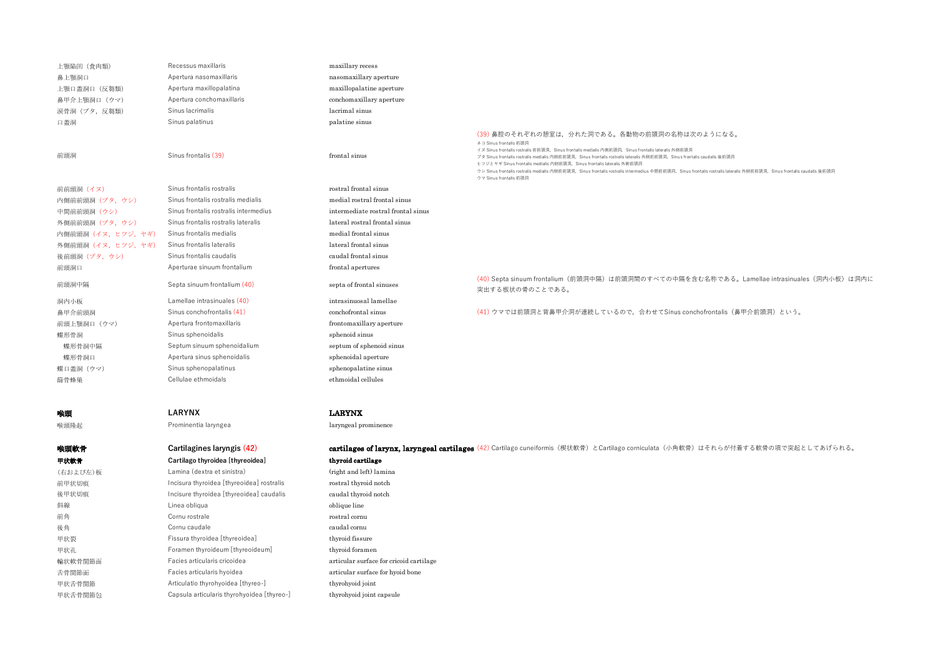| 上顎陥凹 (食肉類)          | Recessus maxillaris                        | maxillary recess                        |                                                                                                                                                                                                                                                                                                                                                                                                                                                                                                                                                                                      |
|---------------------|--------------------------------------------|-----------------------------------------|--------------------------------------------------------------------------------------------------------------------------------------------------------------------------------------------------------------------------------------------------------------------------------------------------------------------------------------------------------------------------------------------------------------------------------------------------------------------------------------------------------------------------------------------------------------------------------------|
| 鼻上顎洞口               | Apertura nasomaxillaris                    | nasomaxillary aperture                  |                                                                                                                                                                                                                                                                                                                                                                                                                                                                                                                                                                                      |
| 上顎口蓋洞口 (反芻類)        | Apertura maxillopalatina                   | maxillopalatine aperture                |                                                                                                                                                                                                                                                                                                                                                                                                                                                                                                                                                                                      |
| 鼻甲介上顎洞口 (ウマ)        | Apertura conchomaxillaris                  | conchomaxillary aperture                |                                                                                                                                                                                                                                                                                                                                                                                                                                                                                                                                                                                      |
| 涙骨洞 (ブタ, 反芻類)       | Sinus lacrimalis                           | lacrimal sinus                          |                                                                                                                                                                                                                                                                                                                                                                                                                                                                                                                                                                                      |
| 口蓋洞                 | Sinus palatinus                            | palatine sinus                          |                                                                                                                                                                                                                                                                                                                                                                                                                                                                                                                                                                                      |
| 前頭洞                 | Sinus frontalis (39)                       | frontal sinus                           | (39) 鼻腔のそれぞれの憩室は、分れた洞である。各動物の前頭洞の名称は次のようになる。<br>ネコ Sinus frontalis 前頭洞<br>イヌ Sinus frontalis rostralis 前前頭洞, Sinus frontalis medialis 内側前頭洞, Sinus frontalis lateralis 外側前頭洞<br>プタ Sinus frontalis rostralis medialis 内側前前頭洞, Sinus frontalis rostralis lateralis 外側前前頭洞, Sinus frontalis caudalis 後前頭洞<br>ヒツジとヤギ Sinus frontalis medialis 内側前頭洞, Sinus frontalis lateralis 外側前頭洞<br>ウシ Sinus frontalis rostralis medialis 内側前前頭洞, Sinus frontalis rostralis intermedius 中間前前頭洞, Sinus frontalis rostralis lateralis 外側前前頭洞, Sinus frontalis caudalis 後前頭洞<br>ウマ Sinus frontalis 前頭洞 |
| 前前頭洞(イヌ)            | Sinus frontalis rostralis                  | rostral frontal sinus                   |                                                                                                                                                                                                                                                                                                                                                                                                                                                                                                                                                                                      |
| 内側前前頭洞 (ブタ, ウシ)     | Sinus frontalis rostralis medialis         | medial rostral frontal sinus            |                                                                                                                                                                                                                                                                                                                                                                                                                                                                                                                                                                                      |
| 中間前前頭洞 (ウシ)         | Sinus frontalis rostralis intermedius      | intermediate rostral frontal sinus      |                                                                                                                                                                                                                                                                                                                                                                                                                                                                                                                                                                                      |
| 外側前前頭洞 (ブタ, ウシ)     | Sinus frontalis rostralis lateralis        | lateral rostral frontal sinus           |                                                                                                                                                                                                                                                                                                                                                                                                                                                                                                                                                                                      |
| 内側前頭洞 (イヌ, ヒツジ, ヤギ) | Sinus frontalis medialis                   | medial frontal sinus                    |                                                                                                                                                                                                                                                                                                                                                                                                                                                                                                                                                                                      |
| 外側前頭洞 (イヌ, ヒツジ, ヤギ) | Sinus frontalis lateralis                  | lateral frontal sinus                   |                                                                                                                                                                                                                                                                                                                                                                                                                                                                                                                                                                                      |
| 後前頭洞 (ブタ,ウシ)        | Sinus frontalis caudalis                   | caudal frontal sinus                    |                                                                                                                                                                                                                                                                                                                                                                                                                                                                                                                                                                                      |
| 前頭洞口                | Aperturae sinuum frontalium                | frontal apertures                       |                                                                                                                                                                                                                                                                                                                                                                                                                                                                                                                                                                                      |
| 前頭洞中隔               | Septa sinuum frontalium (40)               | septa of frontal sinuses                | (40) Septa sinuum frontalium (前頭洞中隔) は前頭洞間のすべての中隔を含む名称である。Lamellae intrasinuales (洞内小板) は洞内に<br>突出する板状の骨のことである。                                                                                                                                                                                                                                                                                                                                                                                                                                                                      |
| 洞内小板                | Lamellae intrasinuales (40)                | intrasinuosal lamellae                  |                                                                                                                                                                                                                                                                                                                                                                                                                                                                                                                                                                                      |
| 鼻甲介前頭洞              | Sinus conchofrontalis (41)                 | conchofrontal sinus                     | (41) ウマでは前頭洞と背鼻甲介洞が連続しているので、合わせてSinus conchofrontalis (鼻甲介前頭洞) という。                                                                                                                                                                                                                                                                                                                                                                                                                                                                                                                  |
| 前頭上顎洞口 (ウマ)         | Apertura frontomaxillaris                  | frontomaxillary aperture                |                                                                                                                                                                                                                                                                                                                                                                                                                                                                                                                                                                                      |
| 蝶形骨洞                | Sinus sphenoidalis                         | sphenoid sinus                          |                                                                                                                                                                                                                                                                                                                                                                                                                                                                                                                                                                                      |
| 蝶形骨洞中隔              | Septum sinuum sphenoidalium                | septum of sphenoid sinus                |                                                                                                                                                                                                                                                                                                                                                                                                                                                                                                                                                                                      |
| 蝶形骨洞口               | Apertura sinus sphenoidalis                | sphenoidal aperture                     |                                                                                                                                                                                                                                                                                                                                                                                                                                                                                                                                                                                      |
| 蝶口蓋洞 (ウマ)           | Sinus sphenopalatinus                      | sphenopalatine sinus                    |                                                                                                                                                                                                                                                                                                                                                                                                                                                                                                                                                                                      |
| 篩骨蜂巢                | Cellulae ethmoidals                        | ethmoidal cellules                      |                                                                                                                                                                                                                                                                                                                                                                                                                                                                                                                                                                                      |
|                     |                                            |                                         |                                                                                                                                                                                                                                                                                                                                                                                                                                                                                                                                                                                      |
| 喉頭                  | <b>LARYNX</b>                              | <b>LARYNX</b>                           |                                                                                                                                                                                                                                                                                                                                                                                                                                                                                                                                                                                      |
| 喉頭隆起                | Prominentia laryngea                       | laryngeal prominence                    |                                                                                                                                                                                                                                                                                                                                                                                                                                                                                                                                                                                      |
|                     |                                            |                                         |                                                                                                                                                                                                                                                                                                                                                                                                                                                                                                                                                                                      |
| 喉頭軟骨                | Cartilagines laryngis (42)                 |                                         | cartilages of larynx, laryngeal cartilages (42) Cartilago cuneiformis(楔状軟骨)とCartilago corniculata(小角軟骨)はそれらが付着する軟骨の項で突起としてあげられる。                                                                                                                                                                                                                                                                                                                                                                                                                                                     |
| 甲状软骨                | Cartilago thyroidea [thyreoidea]           | thyroid cartilage                       |                                                                                                                                                                                                                                                                                                                                                                                                                                                                                                                                                                                      |
| (右および左)板            | Lamina (dextra et sinistra)                | (right and left) lamina                 |                                                                                                                                                                                                                                                                                                                                                                                                                                                                                                                                                                                      |
| 前甲状切痕               | Incisura thyroidea [thyreoidea] rostralis  | rostral thyroid notch                   |                                                                                                                                                                                                                                                                                                                                                                                                                                                                                                                                                                                      |
| 後甲状切痕               | Incisure thyroidea [thyreoidea] caudalis   | caudal thyroid notch                    |                                                                                                                                                                                                                                                                                                                                                                                                                                                                                                                                                                                      |
| 斜線                  | Linea obliqua                              | oblique line                            |                                                                                                                                                                                                                                                                                                                                                                                                                                                                                                                                                                                      |
| 前角                  | Cornu rostrale                             | rostral cornu                           |                                                                                                                                                                                                                                                                                                                                                                                                                                                                                                                                                                                      |
| 後角                  | Cornu caudale                              | caudal cornu                            |                                                                                                                                                                                                                                                                                                                                                                                                                                                                                                                                                                                      |
| 甲状裂                 | Fissura thyroidea [thyreoidea]             | thyroid fissure                         |                                                                                                                                                                                                                                                                                                                                                                                                                                                                                                                                                                                      |
| 甲状孔                 | Foramen thyroideum [thyreoideum]           | thyroid foramen                         |                                                                                                                                                                                                                                                                                                                                                                                                                                                                                                                                                                                      |
| 輪状軟骨関節面             | Facies articularis cricoidea               | articular surface for cricoid cartilage |                                                                                                                                                                                                                                                                                                                                                                                                                                                                                                                                                                                      |
| 舌骨関節面               | Facies articularis hyoidea                 | articular surface for hyoid bone        |                                                                                                                                                                                                                                                                                                                                                                                                                                                                                                                                                                                      |
| 甲状舌骨関節              | Articulatio thyrohyoidea [thyreo-]         | thyrohyoid joint                        |                                                                                                                                                                                                                                                                                                                                                                                                                                                                                                                                                                                      |
| 甲状舌骨関節包             | Capsula articularis thyrohyoidea [thyreo-] | thyrohyoid joint capsule                |                                                                                                                                                                                                                                                                                                                                                                                                                                                                                                                                                                                      |
|                     |                                            |                                         |                                                                                                                                                                                                                                                                                                                                                                                                                                                                                                                                                                                      |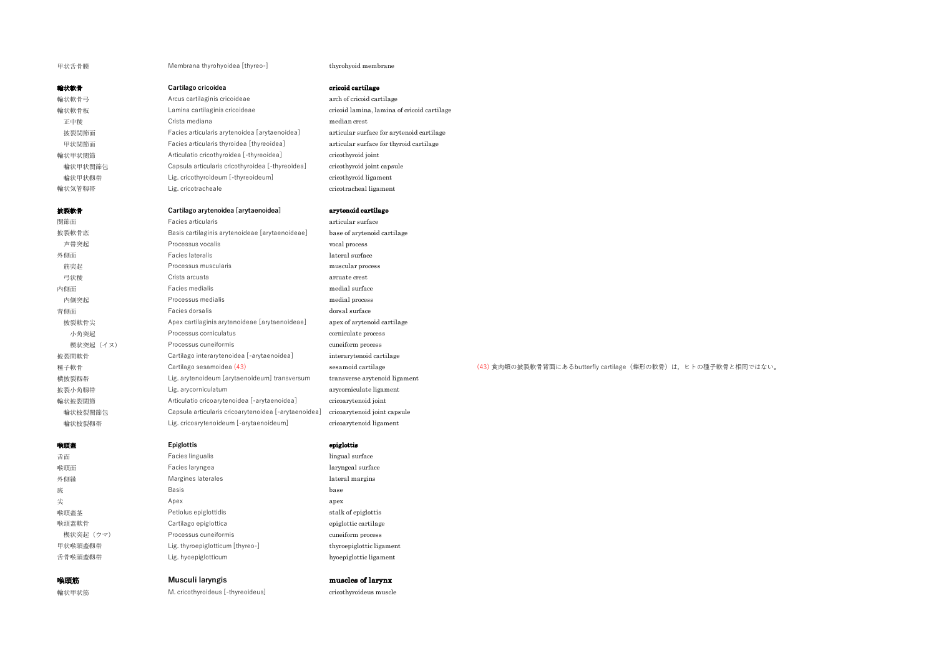甲状舌骨膜 **Membrana thyrohyoidea [thyreo-]** thyrohyoid membrane

| 輪状軟骨    | Cartilago cricoidea                              | cricoid cartilage                           |
|---------|--------------------------------------------------|---------------------------------------------|
| 輪状軟骨弓   | Arcus cartilaginis cricoideae                    | arch of cricoid cartilage                   |
| 輪状軟骨板   | Lamina cartilaginis cricoideae                   | cricoid lamina, lamina of cricoid cartilage |
| 正中稜     | Crista mediana                                   | median crest                                |
| 披裂関節面   | Facies articularis arytenoidea [arytaenoidea]    | articular surface for arytenoid cartilage   |
| 甲状関節面   | Facies articularis thyroidea [thyreoidea]        | articular surface for thyroid cartilage     |
| 輪状甲状関節  | Articulatio cricothyroidea [-thyreoidea]         | cricothyroid joint                          |
| 輪状甲状関節包 | Capsula articularis cricothyroidea [-thyreoidea] | cricothyroid joint capsule                  |
| 輪状甲状靱帯  | Lig. cricothyroideum [-thyreoideum]              | cricothyroid ligament                       |
| 輪状気管靱帯  | Lig. cricotracheale                              | cricotracheal ligament                      |

## 披裂軟骨 **Cartilago arytenoidea [arytaenoidea]** arytenoid cartilage

| 関節面       | Facies articularis                                   | articular surface             |                                                                 |
|-----------|------------------------------------------------------|-------------------------------|-----------------------------------------------------------------|
| 披裂軟骨底     | Basis cartilaginis arytenoideae [arytaenoideae]      | base of arytenoid cartilage   |                                                                 |
| 声带突起      | Processus vocalis                                    | vocal process                 |                                                                 |
| 外側面       | Facies lateralis                                     | lateral surface               |                                                                 |
| 筋突起       | Processus muscularis                                 | muscular process              |                                                                 |
| 弓状稜       | Crista arcuata                                       | arcuate crest                 |                                                                 |
| 内側面       | Facies medialis                                      | medial surface                |                                                                 |
| 内側突起      | Processus medialis                                   | medial process                |                                                                 |
| 背側面       | Facies dorsalis                                      | dorsal surface                |                                                                 |
| 披裂軟骨尖     | Apex cartilaginis arytenoideae [arytaenoideae]       | apex of arytenoid cartilage   |                                                                 |
| 小角突起      | Processus corniculatus                               | corniculate process           |                                                                 |
| 楔状突起 (イヌ) | Processus cuneiformis                                | cuneiform process             |                                                                 |
| 披裂間軟骨     | Cartilago interarytenoidea [-arytaenoidea]           | interarytenoid cartilage      |                                                                 |
| 種子軟骨      | Cartilago sesamoidea (43)                            | sesamoid cartilage            | (43) 食肉類の披裂軟骨背面にあるbutterfly cartilage (蝶形の軟骨) は、ヒトの種子軟骨と相同ではない。 |
| 横披裂靱帯     | Lig. arytenoideum [arytaenoideum] transversum        | transverse arytenoid ligament |                                                                 |
| 披裂小角靱帯    | Lig. arycorniculatum                                 | arycorniculate ligament       |                                                                 |
| 輪状披裂関節    | Articulatio cricoarytenoidea [-arytaenoidea]         | cricoarytenoid joint          |                                                                 |
| 輪状披裂関節包   | Capsula articularis cricoarytenoidea [-arytaenoidea] | cricoarytenoid joint capsule  |                                                                 |
| 輪状披裂靱帯    | Lig. cricoarytenoideum [-arytaenoideum]              | cricoarytenoid ligament       |                                                                 |
|           |                                                      |                               |                                                                 |

### 喉頭蓋 **Epiglottis** epiglottis

| 舌面        | Facies lingualis                 | lingu |
|-----------|----------------------------------|-------|
| 喉頭面       | Facies laryngea                  | laryı |
| 外側縁       | Margines laterales               | later |
| 底         | Basis                            | base  |
| 尖         | Apex                             | apex  |
| 喉頭蓋茎      | Petiolus epiglottidis            | stall |
| 喉頭蓋軟骨     | Cartilago epiglottica            | epigl |
| 楔状突起 (ウマ) | Processus cuneiformis            | cune  |
| 甲状喉頭蓋靱帯   | Lig. thyroepiglotticum [thyreo-] | thyro |
|           |                                  |       |

| 尖         | Apex                  | apex                 |
|-----------|-----------------------|----------------------|
|           |                       |                      |
| 喉頭蓋茎      | Petiolus epiglottidis | stalk of epiglottis  |
| 喉頭蓋軟骨     | Cartilago epiglottica | epiglottic cartilage |
| 楔状突起 (ウマ) | Processus cuneiformis | cuneiform process    |

Facies lingualis **Facies** lingual surface Facies laryngea **and a community** and a laryngeal surface Margines laterales and a margin margin margins lateral margins

# 靱帯 Lig. thyroepiglotticum [thyreo-] thyroepiglottic ligament 舌骨喉頭蓋靱帯 Lig. hyoepiglotticum hyoepiglottic ligament

### **喉頭筋 Musculi laryngis muscles of larynx**

輪状甲状筋 M. cricothyroideus [-thyreoideus] cricothyroideus muscle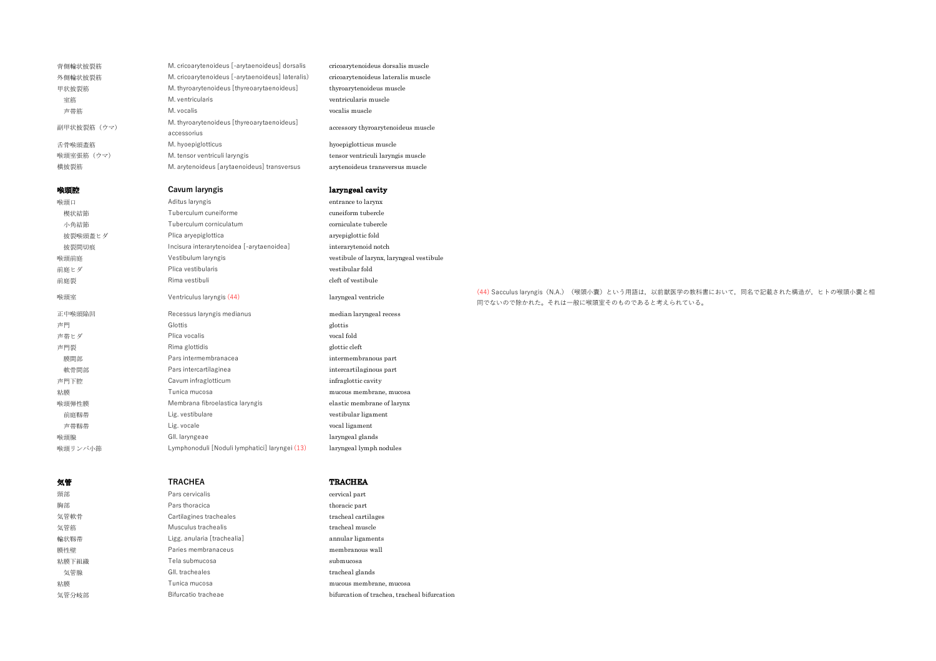| 背側輪状披裂筋    | M. cricoarytenoideus [-arytaenoideus] dorsalis            | cricoarytenoideus dorsalis muscle        |
|------------|-----------------------------------------------------------|------------------------------------------|
| 外側輪状披裂筋    | M. cricoarytenoideus [-arytaenoideus] lateralis)          | cricoarytenoideus lateralis muscle       |
| 甲状披裂筋      | M. thyroarytenoideus [thyreoarytaenoideus]                | thyroarytenoideus muscle                 |
| 室筋         | M. ventricularis                                          | ventricularis muscle                     |
| 声带筋        | M. vocalis                                                | vocalis muscle                           |
| 副甲状披裂筋(ウマ) | M. thyroarytenoideus [thyreoarytaenoideus]<br>accessorius | accessory thyroarytenoideus muscle       |
| 舌骨喉頭蓋筋     | M. hyoepiglotticus                                        | hyoepiglotticus muscle                   |
| 喉頭室張筋(ウマ)  | M. tensor ventriculi laryngis                             | tensor ventriculi laryngis muscle        |
| 横披裂筋       | M. arytenoideus [arytaenoideus] transversus               | arytenoideus transversus muscle          |
| 喉頭腔        | Cavum laryngis                                            | laryngeal cavity                         |
| 喉頭口        | Aditus laryngis                                           | entrance to larynx                       |
| 楔状結節       | Tuberculum cuneiforme                                     | cuneiform tubercle                       |
| 小角結節       | Tuberculum corniculatum                                   | corniculate tubercle                     |
| 披裂喉頭蓋ヒダ    | Plica aryepiglottica                                      | aryepiglottic fold                       |
| 披裂間切痕      | Incisura interarytenoidea [-arytaenoidea]                 | interarytenoid notch                     |
| 喉頭前庭       | Vestibulum laryngis                                       | vestibule of larynx, laryngeal vestibule |
| 前庭ヒダ       | Plica vestibularis                                        | vestibular fold                          |
| 前庭裂        | Rima vestibuli                                            | cleft of vestibule                       |
| 喉頭室        | Ventriculus laryngis (44)                                 | laryngeal ventricle                      |
| 正中喉頭陥凹     | Recessus laryngis medianus                                | median laryngeal recess                  |
| 声門         | Glottis                                                   | glottis                                  |
| 声帯ヒダ       | Plica vocalis                                             | vocal fold                               |
| 声門裂        | Rima glottidis                                            | glottic cleft                            |
| 膜間部        | Pars intermembranacea                                     | intermembranous part                     |
| 軟骨間部       | Pars intercartilaginea                                    | intercartilaginous part                  |
| 声門下腔       | Cavum infraglotticum                                      | infraglottic cavity                      |
| 粘膜         | Tunica mucosa                                             | mucous membrane, mucosa                  |
| 喉頭弾性膜      | Membrana fibroelastica laryngis                           | elastic membrane of larynx               |
| 前庭靱帯       | Lig. vestibulare                                          | vestibular ligament                      |
| 声带靱帯       | Lig. vocale                                               | vocal ligament                           |
| 喉頭腺        | GII. laryngeae                                            | laryngeal glands                         |
| 喉頭リンパ小節    | Lymphonoduli [Noduli lymphatici] laryngei (13)            | laryngeal lymph nodules                  |

| 気管    | <b>TRACHEA</b>              |
|-------|-----------------------------|
| 頸部    | Pars cervicalis             |
| 胸部    | Pars thoracica              |
| 気管軟骨  | Cartilagines tracheales     |
| 気管筋   | Musculus trachealis         |
| 輪状靱帯  | Ligg. anularia [trachealia] |
| 膜性壁   | Paries membranaceus         |
| 粘膜下組織 | Tela submucosa              |
| 気管腺   | GII, tracheales             |
| 粘膜    | Tunica mucosa               |
| 気管分岐部 | Bifurcatio tracheae         |

気管 **TRACHEA** TRACHEA cervical part

thoracic part tracheal cartilages tracheal muscle annular ligaments membranous wall submucosa tracheal glands mucous membrane, mucosa bifurcation of trachea, tracheal bifurcation (44) Sacculus laryngis (N.A.) (喉頭小囊) という用語は,以前獣医学の教科書において,同名で記載された構造が,ヒトの喉頭小囊と相 同でないので除かれた。それは⼀般に喉頭室そのものであると考えられている。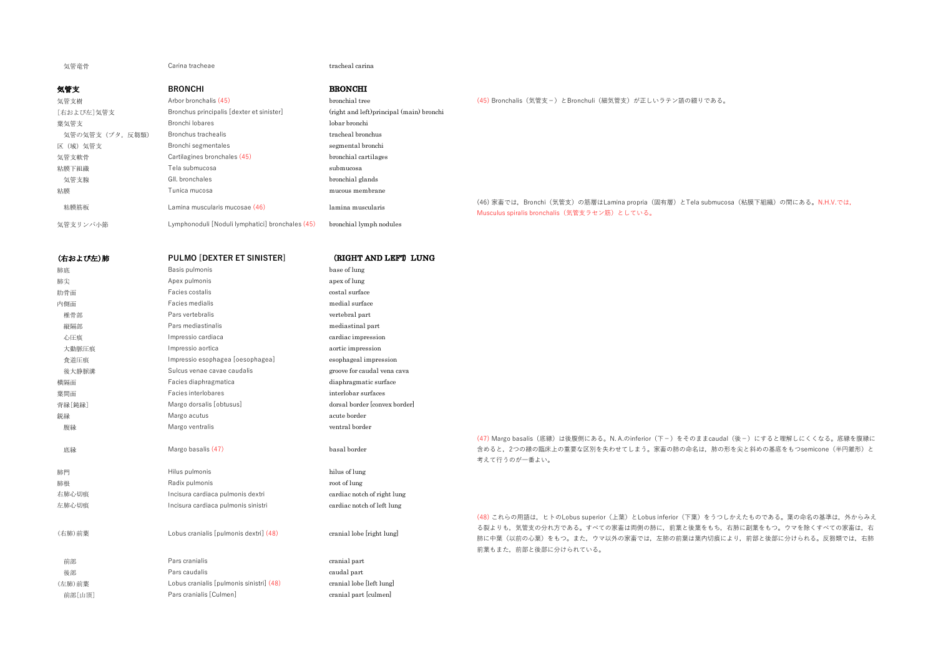気管竜骨 **Carina tracheae** tracheae tracheal carina

| 気管支            | <b>BRONCHI</b>                                   | <b>BRONCHI</b>                            |                                                                                                                                   |
|----------------|--------------------------------------------------|-------------------------------------------|-----------------------------------------------------------------------------------------------------------------------------------|
| 気管支樹           | Arbor bronchalis (45)                            | bronchial tree                            | (45) Bronchalis(気管支-)とBronchuli(細気管支)が正しいラテン語の綴りである。                                                                              |
| [右および左]気管支     | Bronchus principalis [dexter et sinister]        | (right and left) principal (main) bronchi |                                                                                                                                   |
| 葉気管支           | Bronchi lobares                                  | lobar bronchi                             |                                                                                                                                   |
| 気管の気管支(ブタ,反芻類) | Bronchus trachealis                              | tracheal bronchus                         |                                                                                                                                   |
| 区(域)気管支        | Bronchi segmentales                              | segmental bronchi                         |                                                                                                                                   |
| 気管支軟骨          | Cartilagines bronchales (45)                     | bronchial cartilages                      |                                                                                                                                   |
| 粘膜下組織          | Tela submucosa                                   | submucosa                                 |                                                                                                                                   |
| 気管支腺           | GII. bronchales                                  | bronchial glands                          |                                                                                                                                   |
| 粘膜             | Tunica mucosa                                    | mucous membrane                           |                                                                                                                                   |
| 粘膜筋板           | Lamina muscularis mucosae (46)                   | lamina muscularis                         | (46) 家畜では、Bronchi(気管支)の筋層はLamina propria(固有層)とTela submucosa(粘膜下組織)の間にある。N.H.V.では、<br>Musculus spiralis bronchalis(気管支ラセン筋)としている。 |
| 気管支リンパ小節       | Lymphonoduli [Noduli lymphatici] bronchales (45) | bronchial lymph nodules                   |                                                                                                                                   |

| (右および左)肺 | PULMO [DEXTER ET SINISTER]               | (RIGHT AND LEFT) LUNG         |                                                                                                                                         |
|----------|------------------------------------------|-------------------------------|-----------------------------------------------------------------------------------------------------------------------------------------|
| 肺底       | Basis pulmonis                           | base of lung                  |                                                                                                                                         |
| 肺尖       | Apex pulmonis                            | apex of lung                  |                                                                                                                                         |
| 肋骨面      | Facies costalis                          | costal surface                |                                                                                                                                         |
| 内側面      | Facies medialis                          | medial surface                |                                                                                                                                         |
| 椎骨部      | Pars vertebralis                         | vertebral part                |                                                                                                                                         |
| 縦隔部      | Pars mediastinalis                       | mediastinal part              |                                                                                                                                         |
| 心圧痕      | Impressio cardiaca                       | cardiac impression            |                                                                                                                                         |
| 大動脈圧痕    | Impressio aortica                        | aortic impression             |                                                                                                                                         |
| 食道圧痕     | Impressio esophagea [oesophagea]         | esophageal impression         |                                                                                                                                         |
| 後大静脈溝    | Sulcus venae cavae caudalis              | groove for caudal vena cava   |                                                                                                                                         |
| 横隔面      | Facies diaphragmatica                    | diaphragmatic surface         |                                                                                                                                         |
| 葉間面      | Facies interlobares                      | interlobar surfaces           |                                                                                                                                         |
| 背縁[鈍縁]   | Margo dorsalis [obtusus]                 | dorsal border [convex border] |                                                                                                                                         |
| 鋭縁       | Margo acutus                             | acute border                  |                                                                                                                                         |
| 腹縁       | Margo ventralis                          | ventral border                |                                                                                                                                         |
| 底縁       | Margo basalis (47)                       | basal border                  | (47) Margo basalis (底縁) は後腹側にある。N. A.のinferior (下<br>含めると、2つの縁の臨床上の重要な区別を失わせてしまう。家<br>考えて行うのが一番よい。                                      |
| 肺門       | Hilus pulmonis                           | hilus of lung                 |                                                                                                                                         |
| 肺根       | Radix pulmonis                           | root of lung                  |                                                                                                                                         |
| 右肺心切痕    | Incisura cardiaca pulmonis dextri        | cardiac notch of right lung   |                                                                                                                                         |
| 左肺心切痕    | Incisura cardiaca pulmonis sinistri      | cardiac notch of left lung    |                                                                                                                                         |
| (右肺)前葉   | Lobus cranialis [pulmonis dextri] (48)   | cranial lobe [right lung]     | (48) これらの用語は、ヒトのLobus superior (上葉) とLobus in<br>る裂よりも、気管支の分れ方である。すべての家畜は両側の肺に<br>肺に中葉(以前の心葉)をもつ。また、ウマ以外の家畜では、左<br>前葉もまた、前部と後部に分けられている。 |
| 前部       | Pars cranialis                           | cranial part                  |                                                                                                                                         |
| 後部       | Pars caudalis                            | caudal part                   |                                                                                                                                         |
| (左肺)前葉   | Lobus cranialis [pulmonis sinistri] (48) | cranial lobe [left lung]      |                                                                                                                                         |
| 前部[山頂]   | Pars cranialis [Culmen]                  | cranial part [culmen]         |                                                                                                                                         |
|          |                                          |                               |                                                                                                                                         |

(47) Margo basalis(底縁)は後腹側にある。N. A.のinferior(下−)をそのままcaudal(後−)にすると理解しにくくなる。底縁を腹縁に '畜の肺の命名は,肺の形を尖と斜めの基底をもつsemicone (半円錐形)と

nferior (下葉) をうつしかえたものである。葉の命名の基準は, 外からみえ こ,前葉と後葉をもち,右肺に副葉をもつ。ウマを除くすべての家畜は,右  $\overline{\text{F}}$ 肺の前葉は葉内切痕により,前部と後部に分けられる。反芻類では,右肺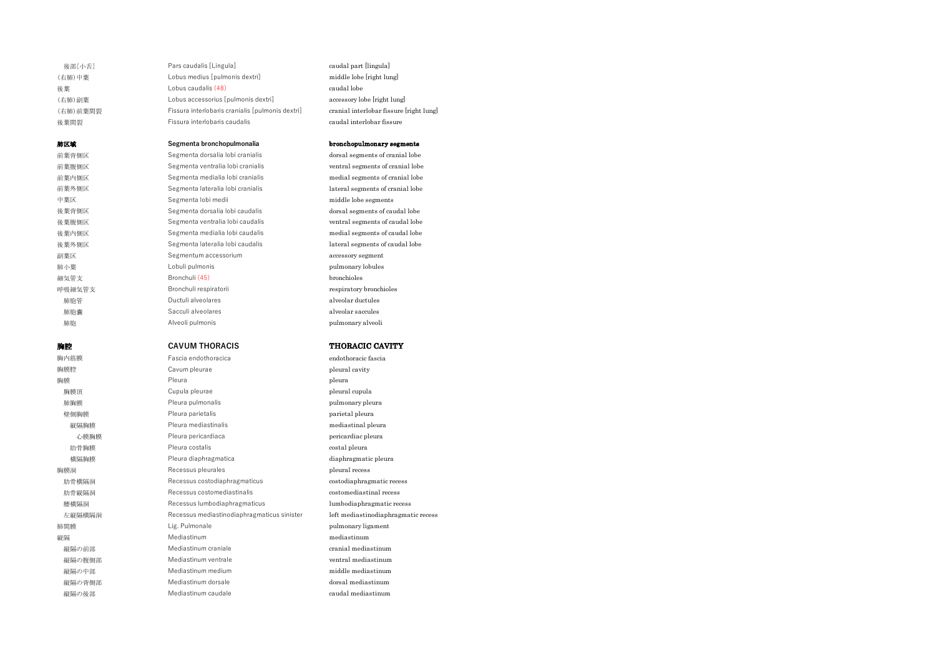| 後部[小舌]   | Pars caudalis [Lingula]                          | caudal part [lingula]                   |
|----------|--------------------------------------------------|-----------------------------------------|
| (右肺)中葉   | Lobus medius [pulmonis dextri]                   | middle lobe [right lung]                |
| 後葉       | Lobus caudalis (48)                              | caudal lobe                             |
| (右肺)副葉   | Lobus accessorius [pulmonis dextri]              | accessory lobe [right lung]             |
| (右肺)前葉間裂 | Fissura interlobaris cranialis [pulmonis dextri] | cranial interlobar fissure [right lung] |
| 後葉間裂     | Fissura interlobaris caudalis                    | caudal interlobar fissure               |
| 肺区域      | Segmenta bronchopulmonalia                       | bronchopulmonary segments               |
| 前葉背側区    | Segmenta dorsalia lobi cranialis                 | dorsal segments of cranial lobe         |
| 前葉腹側区    | Segmenta ventralia lobi cranialis                | ventral segments of cranial lobe        |
| 前葉内側区    | Segmenta medialia lobi cranialis                 | medial segments of cranial lobe         |
| 前葉外側区    | Segmenta lateralia lobi cranialis                | lateral segments of cranial lobe        |
| 中葉区      | Segmenta lobi medii                              | middle lobe segments                    |
| 後葉背側区    | Segmenta dorsalia lobi caudalis                  | dorsal segments of caudal lobe          |
| 後葉腹側区    | Segmenta ventralia lobi caudalis                 | ventral segments of caudal lobe         |
| 後葉内側区    | Segmenta medialia lobi caudalis                  | medial segments of caudal lobe          |
| 後葉外側区    | Segmenta lateralia lobi caudalis                 | lateral segments of caudal lobe         |
| 副葉区      | Segmentum accessorium                            | accessory segment                       |
| 肺小葉      | Lobuli pulmonis                                  | pulmonary lobules                       |
| 細気管支     | Bronchuli (45)                                   | <b>bronchioles</b>                      |
| 呼吸細気管支   | Bronchuli respiratorii                           | respiratory bronchioles                 |
| 肺胞管      | Ductuli alveolares                               | alveolar ductules                       |
| 肺胞囊      | Sacculi alveolares                               | alveolar saccules                       |
| 肺胞       | Alveoli pulmonis                                 | pulmonary alveoli                       |
| 胸腔       | <b>CAVUM THORACIS</b>                            | <b>THORACIC CAVITY</b>                  |
| 胸内筋膜     | Fascia endothoracica                             | endothoracic fascia                     |

| 胸内筋膜   | Fascia endothoracica                        | endothoracic fascia                 |
|--------|---------------------------------------------|-------------------------------------|
| 胸膜腔    | Cavum pleurae                               | pleural cavity                      |
| 胸膜     | Pleura                                      | pleura                              |
| 胸膜頂    | Cupula pleurae                              | pleural cupula                      |
| 肺胸膜    | Pleura pulmonalis                           | pulmonary pleura                    |
| 壁側胸膜   | Pleura parietalis                           | parietal pleura                     |
| 縦隔胸膜   | Pleura mediastinalis                        | mediastinal pleura                  |
| 心膜胸膜   | Pleura pericardiaca                         | pericardiac pleura                  |
| 肋骨胸膜   | Pleura costalis                             | costal pleura                       |
| 横隔胸膜   | Pleura diaphragmatica                       | diaphragmatic pleura                |
| 胸膜洞    | Recessus pleurales                          | pleural recess                      |
| 肋骨横隔洞  | Recessus costodiaphragmaticus               | costodiaphragmatic recess           |
| 肋骨縦隔洞  | Recessus costomediastinalis                 | costomediastinal recess             |
| 腰横隔洞   | Recessus lumbodiaphragmaticus               | lumbodiaphragmatic recess           |
| 左縦隔横隔洞 | Recessus mediastinodiaphragmaticus sinister | left mediastinodiaphragmatic recess |
| 肺間膜    | Lig. Pulmonale                              | pulmonary ligament                  |
| 縦隔     | Mediastinum                                 | mediastinum                         |
| 縦隔の前部  | Mediastinum craniale                        | cranial mediastinum                 |
| 縦隔の腹側部 | Mediastinum ventrale                        | ventral mediastinum                 |
| 縦隔の中部  | Mediastinum medium                          | middle mediastinum                  |
| 縦隔の背側部 | Mediastinum dorsale                         | dorsal mediastinum                  |
| 縦隔の後部  | Mediastinum caudale                         | caudal mediastinum                  |